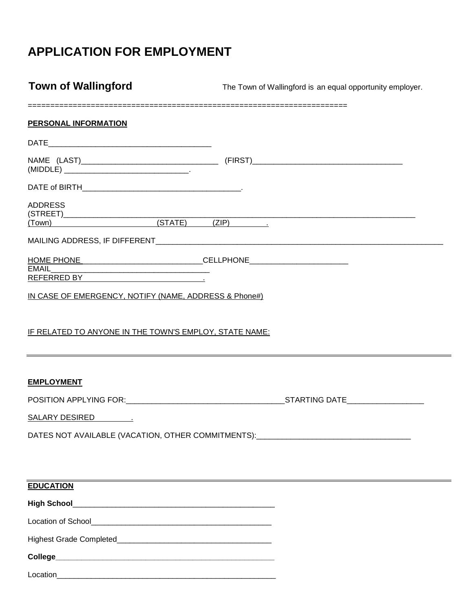# **APPLICATION FOR EMPLOYMENT**

**Town of Wallingford** The Town of Wallingford is an equal opportunity employer.

| <b>PERSONAL INFORMATION</b>                            |  |  |
|--------------------------------------------------------|--|--|
|                                                        |  |  |
|                                                        |  |  |
|                                                        |  |  |
| <b>ADDRESS</b>                                         |  |  |
|                                                        |  |  |
|                                                        |  |  |
| IN CASE OF EMERGENCY, NOTIFY (NAME, ADDRESS & Phone#)  |  |  |
| IF RELATED TO ANYONE IN THE TOWN'S EMPLOY, STATE NAME: |  |  |
| <b>EMPLOYMENT</b>                                      |  |  |
|                                                        |  |  |
|                                                        |  |  |
| DATES NOT AVAILABLE (VACATION, OTHER COMMITMENTS):     |  |  |
|                                                        |  |  |
| <b>EDUCATION</b>                                       |  |  |
|                                                        |  |  |
|                                                        |  |  |

Highest Grade Completed\_\_\_\_\_\_\_\_\_\_\_\_\_\_\_\_\_\_\_\_\_\_\_\_\_\_\_\_\_\_\_\_\_\_\_\_

**College\_\_\_\_\_\_\_\_\_\_\_\_\_\_\_\_\_\_\_\_\_\_\_\_\_\_\_\_\_\_\_\_\_\_\_\_\_\_\_\_\_\_\_\_\_\_\_\_\_\_\_**

Location\_\_\_\_\_\_\_\_\_\_\_\_\_\_\_\_\_\_\_\_\_\_\_\_\_\_\_\_\_\_\_\_\_\_\_\_\_\_\_\_\_\_\_\_\_\_\_\_\_\_\_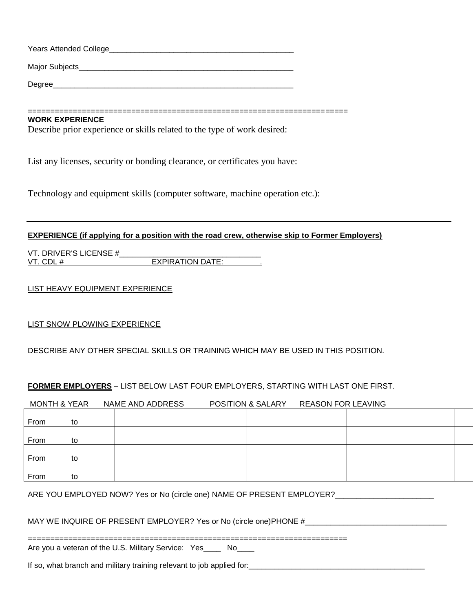| Years Attended College |  |
|------------------------|--|
| Major Subjects         |  |
| Degree                 |  |

#### =======================================================================

## **WORK EXPERIENCE**

Describe prior experience or skills related to the type of work desired:

List any licenses, security or bonding clearance, or certificates you have:

Technology and equipment skills (computer software, machine operation etc.):

#### **EXPERIENCE (if applying for a position with the road crew, otherwise skip to Former Employers)**

VT. DRIVER'S LICENSE #\_\_\_\_\_\_\_\_\_\_\_\_\_\_\_\_\_\_\_\_\_\_\_\_\_\_\_\_\_\_\_\_\_ VT. CDL # EXPIRATION DATE:

### LIST HEAVY EQUIPMENT EXPERIENCE

#### LIST SNOW PLOWING EXPERIENCE

### DESCRIBE ANY OTHER SPECIAL SKILLS OR TRAINING WHICH MAY BE USED IN THIS POSITION.

### **FORMER EMPLOYERS** – LIST BELOW LAST FOUR EMPLOYERS, STARTING WITH LAST ONE FIRST.

|      | <b>MONTH &amp; YEAR</b> | NAME AND ADDRESS | POSITION & SALARY | <b>REASON FOR LEAVING</b> |  |
|------|-------------------------|------------------|-------------------|---------------------------|--|
|      |                         |                  |                   |                           |  |
| From | to                      |                  |                   |                           |  |
| From | to                      |                  |                   |                           |  |
| From | to                      |                  |                   |                           |  |
| From | to                      |                  |                   |                           |  |

#### ARE YOU EMPLOYED NOW? Yes or No (circle one) NAME OF PRESENT EMPLOYER?

#### MAY WE INQUIRE OF PRESENT EMPLOYER? Yes or No (circle one)PHONE #\_\_\_\_\_\_\_\_\_\_\_\_\_\_\_\_\_\_\_\_\_\_

=======================================================================

Are you a veteran of the U.S. Military Service: Yes \_\_\_ No\_\_\_

If so, what branch and military training relevant to job applied for: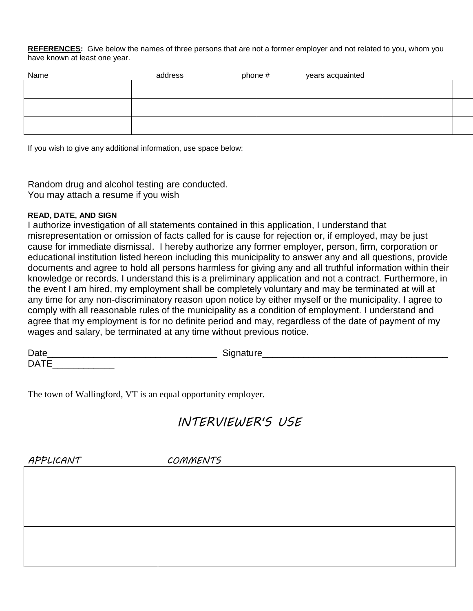**REFERENCES:** Give below the names of three persons that are not a former employer and not related to you, whom you have known at least one year.

| Name | address | phone # | years acquainted |  |
|------|---------|---------|------------------|--|
|      |         |         |                  |  |
|      |         |         |                  |  |
|      |         |         |                  |  |
|      |         |         |                  |  |
|      |         |         |                  |  |
|      |         |         |                  |  |

If you wish to give any additional information, use space below:

Random drug and alcohol testing are conducted. You may attach a resume if you wish

## **READ, DATE, AND SIGN**

I authorize investigation of all statements contained in this application, I understand that misrepresentation or omission of facts called for is cause for rejection or, if employed, may be just cause for immediate dismissal. I hereby authorize any former employer, person, firm, corporation or educational institution listed hereon including this municipality to answer any and all questions, provide documents and agree to hold all persons harmless for giving any and all truthful information within their knowledge or records. I understand this is a preliminary application and not a contract. Furthermore, in the event I am hired, my employment shall be completely voluntary and may be terminated at will at any time for any non-discriminatory reason upon notice by either myself or the municipality. I agree to comply with all reasonable rules of the municipality as a condition of employment. I understand and agree that my employment is for no definite period and may, regardless of the date of payment of my wages and salary, be terminated at any time without previous notice.

| <b>Date</b><br>◡ |  |
|------------------|--|
| <b>DAT</b><br>ັ  |  |

The town of Wallingford, VT is an equal opportunity employer.

# *INTERVIEWER'S USE*

| APPLICANT | COMMENTS |
|-----------|----------|
|           |          |
|           |          |
|           |          |
|           |          |
|           |          |
|           |          |
|           |          |